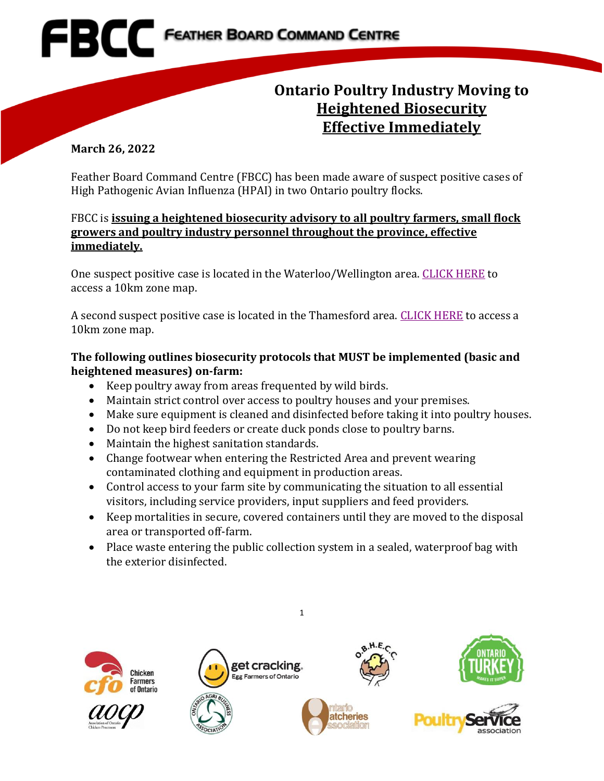# **Ontario Poultry Industry Moving to Heightened Biosecurity Effective Immediately**

#### **March 26, 2022**

Feather Board Command Centre (FBCC) has been made aware of suspect positive cases of High Pathogenic Avian Influenza (HPAI) in two Ontario poultry flocks.

### FBCC is **issuing a heightened biosecurity advisory to all poultry farmers, small flock growers and poultry industry personnel throughout the province, effective immediately.**

One suspect positive case is located in the Waterloo/Wellington area. [CLICK HERE](https://www.fbcc.ca/suspect-infectious-disease/public-map) to access a 10km zone map.

A second suspect positive case is located in the Thamesford area. [CLICK HERE](https://www.fbcc.ca/high-mortality-situation-premises-2/public-map) to access a 10km zone map.

### **The following outlines biosecurity protocols that MUST be implemented (basic and heightened measures) on-farm:**

- Keep poultry away from areas frequented by wild birds.
- Maintain strict control over access to poultry houses and your premises.
- Make sure equipment is cleaned and disinfected before taking it into poultry houses.
- Do not keep bird feeders or create duck ponds close to poultry barns.
- Maintain the highest sanitation standards.
- Change footwear when entering the Restricted Area and prevent wearing contaminated clothing and equipment in production areas.
- Control access to your farm site by communicating the situation to all essential visitors, including service providers, input suppliers and feed providers.
- Keep mortalities in secure, covered containers until they are moved to the disposal area or transported off-farm.
- Place waste entering the public collection system in a sealed, waterproof bag with the exterior disinfected.